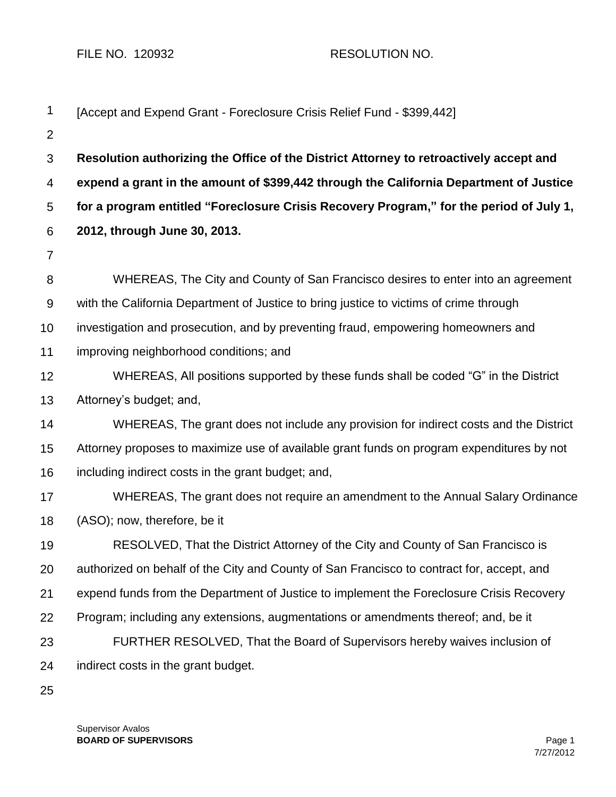FILE NO. 120932 RESOLUTION NO.

| $\mathbf 1$    | [Accept and Expend Grant - Foreclosure Crisis Relief Fund - \$399,442]                    |  |
|----------------|-------------------------------------------------------------------------------------------|--|
| $\overline{2}$ |                                                                                           |  |
| 3              | Resolution authorizing the Office of the District Attorney to retroactively accept and    |  |
| 4              | expend a grant in the amount of \$399,442 through the California Department of Justice    |  |
| 5              | for a program entitled "Foreclosure Crisis Recovery Program," for the period of July 1,   |  |
| 6              | 2012, through June 30, 2013.                                                              |  |
| $\overline{7}$ |                                                                                           |  |
| 8              | WHEREAS, The City and County of San Francisco desires to enter into an agreement          |  |
| 9              | with the California Department of Justice to bring justice to victims of crime through    |  |
| 10             | investigation and prosecution, and by preventing fraud, empowering homeowners and         |  |
| 11             | improving neighborhood conditions; and                                                    |  |
| 12             | WHEREAS, All positions supported by these funds shall be coded "G" in the District        |  |
| 13             | Attorney's budget; and,                                                                   |  |
| 14             | WHEREAS, The grant does not include any provision for indirect costs and the District     |  |
| 15             | Attorney proposes to maximize use of available grant funds on program expenditures by not |  |
| 16             | including indirect costs in the grant budget; and,                                        |  |
| 17             | WHEREAS, The grant does not require an amendment to the Annual Salary Ordinance           |  |
| 18             | (ASO); now, therefore, be it                                                              |  |
| 19             | RESOLVED, That the District Attorney of the City and County of San Francisco is           |  |
| 20             | authorized on behalf of the City and County of San Francisco to contract for, accept, and |  |
| 21             | expend funds from the Department of Justice to implement the Foreclosure Crisis Recovery  |  |
| 22             | Program; including any extensions, augmentations or amendments thereof; and, be it        |  |
| 23             | FURTHER RESOLVED, That the Board of Supervisors hereby waives inclusion of                |  |
| 24             | indirect costs in the grant budget.                                                       |  |
| 25             |                                                                                           |  |